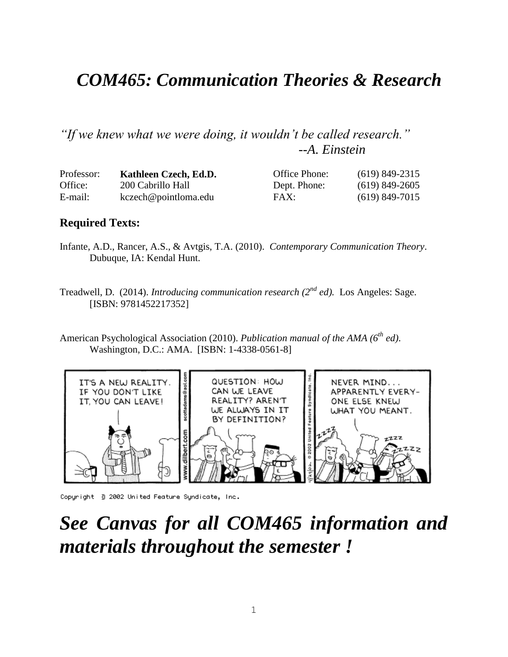## *COM465: Communication Theories & Research*

*"If we knew what we were doing, it wouldn't be called research." --A. Einstein*

| Professor: | Kathleen Czech, Ed.D. | Office Phone: | $(619)$ 849-2315 |
|------------|-----------------------|---------------|------------------|
| Office:    | 200 Cabrillo Hall     | Dept. Phone:  | $(619)$ 849-2605 |
| E-mail:    | kczech@pointloma.edu  | FAX:          | $(619)$ 849-7015 |

#### **Required Texts:**

- Infante, A.D., Rancer, A.S., & Avtgis, T.A. (2010). *Contemporary Communication Theory*. Dubuque, IA: Kendal Hunt.
- Treadwell, D. (2014). *Introducing communication research (2nd ed).* Los Angeles: Sage. [ISBN: 9781452217352]
- American Psychological Association (2010). *Publication manual of the AMA (6th ed)*. Washington, D.C.: AMA. [ISBN: 1-4338-0561-8]



Copyright 3 2002 United Feature Syndicate, Inc.

## *See Canvas for all COM465 information and materials throughout the semester !*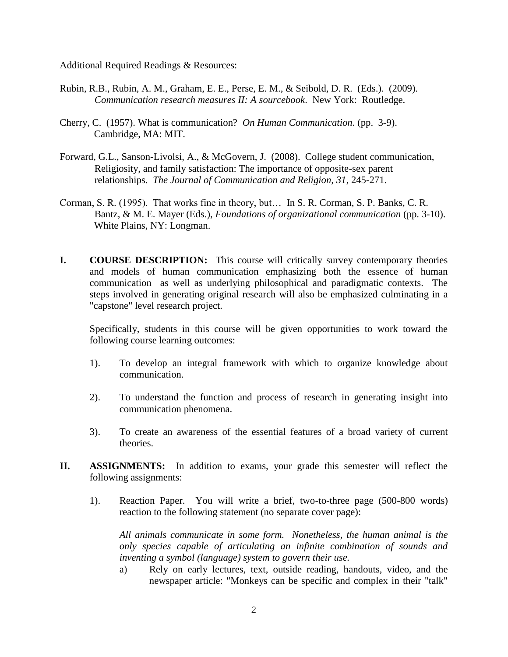Additional Required Readings & Resources:

- Rubin, R.B., Rubin, A. M., Graham, E. E., Perse, E. M., & Seibold, D. R. (Eds.). (2009). *Communication research measures II: A sourcebook*. New York: Routledge.
- Cherry, C. (1957). What is communication? *On Human Communication*. (pp. 3-9). Cambridge, MA: MIT.
- Forward, G.L., Sanson-Livolsi, A., & McGovern, J. (2008). College student communication, Religiosity, and family satisfaction: The importance of opposite-sex parent relationships. *The Journal of Communication and Religion, 31*, 245-271.
- Corman, S. R. (1995). That works fine in theory, but… In S. R. Corman, S. P. Banks, C. R. Bantz, & M. E. Mayer (Eds.), *Foundations of organizational communication* (pp. 3-10). White Plains, NY: Longman.
- **I. COURSE DESCRIPTION:** This course will critically survey contemporary theories and models of human communication emphasizing both the essence of human communication as well as underlying philosophical and paradigmatic contexts. The steps involved in generating original research will also be emphasized culminating in a "capstone" level research project.

Specifically, students in this course will be given opportunities to work toward the following course learning outcomes:

- 1). To develop an integral framework with which to organize knowledge about communication.
- 2). To understand the function and process of research in generating insight into communication phenomena.
- 3). To create an awareness of the essential features of a broad variety of current theories.
- **II. ASSIGNMENTS:** In addition to exams, your grade this semester will reflect the following assignments:
	- 1). Reaction Paper. You will write a brief, two-to-three page (500-800 words) reaction to the following statement (no separate cover page):

*All animals communicate in some form. Nonetheless, the human animal is the only species capable of articulating an infinite combination of sounds and inventing a symbol (language) system to govern their use.*

a) Rely on early lectures, text, outside reading, handouts, video, and the newspaper article: "Monkeys can be specific and complex in their "talk"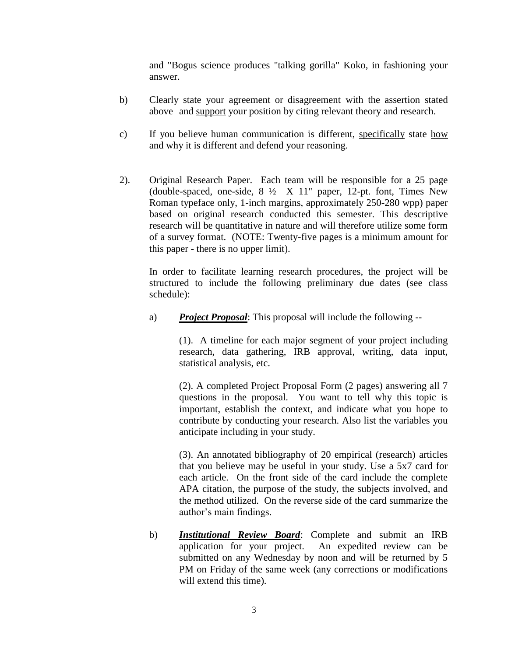and "Bogus science produces "talking gorilla" Koko, in fashioning your answer.

- b) Clearly state your agreement or disagreement with the assertion stated above and support your position by citing relevant theory and research.
- c) If you believe human communication is different, specifically state how and why it is different and defend your reasoning.
- 2). Original Research Paper. Each team will be responsible for a 25 page (double-spaced, one-side, 8 ½ X 11" paper, 12-pt. font, Times New Roman typeface only, 1-inch margins, approximately 250-280 wpp) paper based on original research conducted this semester. This descriptive research will be quantitative in nature and will therefore utilize some form of a survey format. (NOTE: Twenty-five pages is a minimum amount for this paper - there is no upper limit).

In order to facilitate learning research procedures, the project will be structured to include the following preliminary due dates (see class schedule):

a) *Project Proposal*: This proposal will include the following --

(1). A timeline for each major segment of your project including research, data gathering, IRB approval, writing, data input, statistical analysis, etc.

(2). A completed Project Proposal Form (2 pages) answering all 7 questions in the proposal. You want to tell why this topic is important, establish the context, and indicate what you hope to contribute by conducting your research. Also list the variables you anticipate including in your study.

(3). An annotated bibliography of 20 empirical (research) articles that you believe may be useful in your study. Use a 5x7 card for each article. On the front side of the card include the complete APA citation, the purpose of the study, the subjects involved, and the method utilized. On the reverse side of the card summarize the author's main findings.

b) *Institutional Review Board*: Complete and submit an IRB application for your project. An expedited review can be submitted on any Wednesday by noon and will be returned by 5 PM on Friday of the same week (any corrections or modifications will extend this time).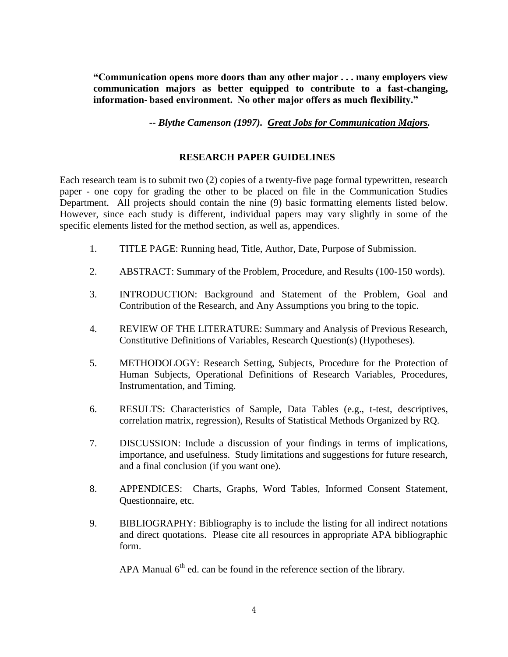**"Communication opens more doors than any other major . . . many employers view communication majors as better equipped to contribute to a fast-changing, information- based environment. No other major offers as much flexibility."**

*-- Blythe Camenson (1997). Great Jobs for Communication Majors.*

#### **RESEARCH PAPER GUIDELINES**

Each research team is to submit two (2) copies of a twenty-five page formal typewritten, research paper - one copy for grading the other to be placed on file in the Communication Studies Department. All projects should contain the nine (9) basic formatting elements listed below. However, since each study is different, individual papers may vary slightly in some of the specific elements listed for the method section, as well as, appendices.

- 1. TITLE PAGE: Running head, Title, Author, Date, Purpose of Submission.
- 2. ABSTRACT: Summary of the Problem, Procedure, and Results (100-150 words).
- 3. INTRODUCTION: Background and Statement of the Problem, Goal and Contribution of the Research, and Any Assumptions you bring to the topic.
- 4. REVIEW OF THE LITERATURE: Summary and Analysis of Previous Research, Constitutive Definitions of Variables, Research Question(s) (Hypotheses).
- 5. METHODOLOGY: Research Setting, Subjects, Procedure for the Protection of Human Subjects, Operational Definitions of Research Variables, Procedures, Instrumentation, and Timing.
- 6. RESULTS: Characteristics of Sample, Data Tables (e.g., t-test, descriptives, correlation matrix, regression), Results of Statistical Methods Organized by RQ.
- 7. DISCUSSION: Include a discussion of your findings in terms of implications, importance, and usefulness. Study limitations and suggestions for future research, and a final conclusion (if you want one).
- 8. APPENDICES: Charts, Graphs, Word Tables, Informed Consent Statement, Questionnaire, etc.
- 9. BIBLIOGRAPHY: Bibliography is to include the listing for all indirect notations and direct quotations. Please cite all resources in appropriate APA bibliographic form.

APA Manual  $6<sup>th</sup>$  ed. can be found in the reference section of the library.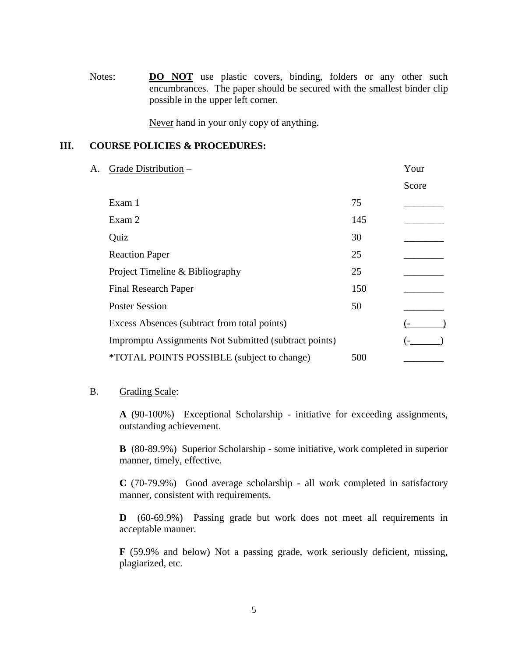Notes: **DO NOT** use plastic covers, binding, folders or any other such encumbrances. The paper should be secured with the smallest binder clip possible in the upper left corner.

Never hand in your only copy of anything.

#### **III. COURSE POLICIES & PROCEDURES:**

| A. | Grade Distribution -                                  |     | Your  |
|----|-------------------------------------------------------|-----|-------|
|    |                                                       |     | Score |
|    | Exam 1                                                | 75  |       |
|    | Exam 2                                                | 145 |       |
|    | Quiz                                                  | 30  |       |
|    | <b>Reaction Paper</b>                                 | 25  |       |
|    | Project Timeline & Bibliography                       | 25  |       |
|    | <b>Final Research Paper</b>                           | 150 |       |
|    | <b>Poster Session</b>                                 | 50  |       |
|    | Excess Absences (subtract from total points)          |     |       |
|    | Impromptu Assignments Not Submitted (subtract points) |     |       |
|    | <i>*TOTAL POINTS POSSIBLE (subject to change)</i>     | 500 |       |
|    |                                                       |     |       |

#### B. Grading Scale:

**A** (90-100%) Exceptional Scholarship - initiative for exceeding assignments, outstanding achievement.

**B** (80-89.9%) Superior Scholarship - some initiative, work completed in superior manner, timely, effective.

**C** (70-79.9%) Good average scholarship - all work completed in satisfactory manner, consistent with requirements.

**D** (60-69.9%) Passing grade but work does not meet all requirements in acceptable manner.

**F** (59.9% and below) Not a passing grade, work seriously deficient, missing, plagiarized, etc.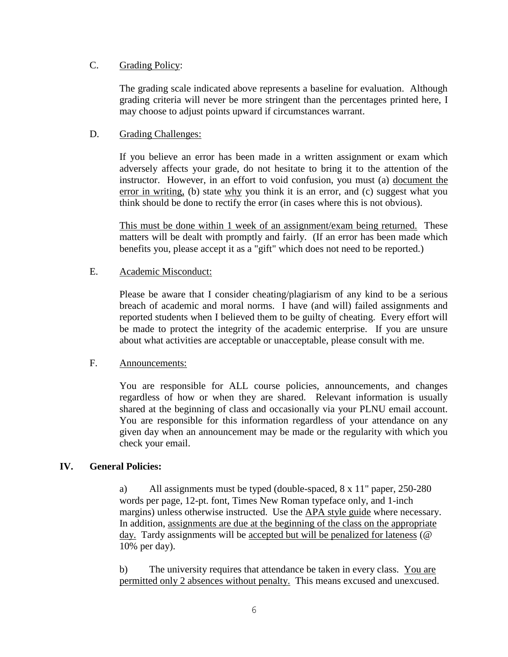#### C. Grading Policy:

The grading scale indicated above represents a baseline for evaluation. Although grading criteria will never be more stringent than the percentages printed here, I may choose to adjust points upward if circumstances warrant.

#### D. Grading Challenges:

If you believe an error has been made in a written assignment or exam which adversely affects your grade, do not hesitate to bring it to the attention of the instructor. However, in an effort to void confusion, you must (a) document the error in writing, (b) state why you think it is an error, and (c) suggest what you think should be done to rectify the error (in cases where this is not obvious).

This must be done within 1 week of an assignment/exam being returned. These matters will be dealt with promptly and fairly. (If an error has been made which benefits you, please accept it as a "gift" which does not need to be reported.)

#### E. Academic Misconduct:

Please be aware that I consider cheating/plagiarism of any kind to be a serious breach of academic and moral norms. I have (and will) failed assignments and reported students when I believed them to be guilty of cheating. Every effort will be made to protect the integrity of the academic enterprise. If you are unsure about what activities are acceptable or unacceptable, please consult with me.

#### F. Announcements:

You are responsible for ALL course policies, announcements, and changes regardless of how or when they are shared. Relevant information is usually shared at the beginning of class and occasionally via your PLNU email account. You are responsible for this information regardless of your attendance on any given day when an announcement may be made or the regularity with which you check your email.

#### **IV. General Policies:**

a) All assignments must be typed (double-spaced, 8 x 11" paper, 250-280 words per page, 12-pt. font, Times New Roman typeface only, and 1-inch margins) unless otherwise instructed. Use the APA style guide where necessary. In addition, assignments are due at the beginning of the class on the appropriate day. Tardy assignments will be accepted but will be penalized for lateness (@ 10% per day).

 b) The university requires that attendance be taken in every class. You are permitted only 2 absences without penalty. This means excused and unexcused.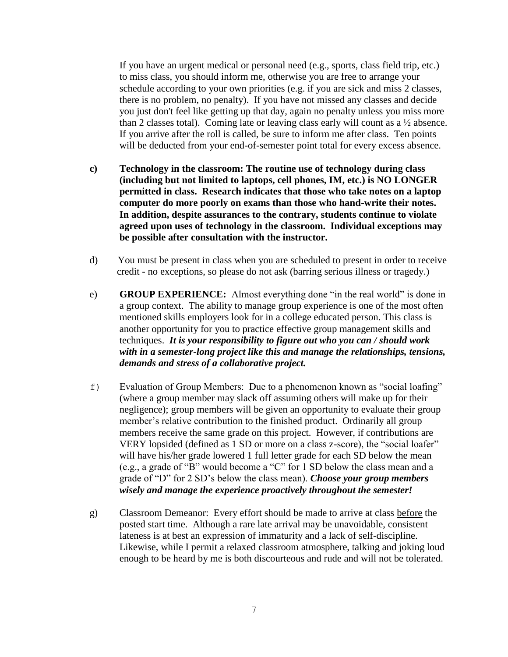If you have an urgent medical or personal need (e.g., sports, class field trip, etc.) to miss class, you should inform me, otherwise you are free to arrange your schedule according to your own priorities (e.g. if you are sick and miss 2 classes, there is no problem, no penalty). If you have not missed any classes and decide you just don't feel like getting up that day, again no penalty unless you miss more than 2 classes total). Coming late or leaving class early will count as a ½ absence. If you arrive after the roll is called, be sure to inform me after class. Ten points will be deducted from your end-of-semester point total for every excess absence.

- **c) Technology in the classroom: The routine use of technology during class (including but not limited to laptops, cell phones, IM, etc.) is NO LONGER permitted in class. Research indicates that those who take notes on a laptop computer do more poorly on exams than those who hand-write their notes. In addition, despite assurances to the contrary, students continue to violate agreed upon uses of technology in the classroom. Individual exceptions may be possible after consultation with the instructor.**
- d) You must be present in class when you are scheduled to present in order to receive credit - no exceptions, so please do not ask (barring serious illness or tragedy.)
- e) **GROUP EXPERIENCE:** Almost everything done "in the real world" is done in a group context. The ability to manage group experience is one of the most often mentioned skills employers look for in a college educated person. This class is another opportunity for you to practice effective group management skills and techniques. *It is your responsibility to figure out who you can / should work with in a semester-long project like this and manage the relationships, tensions, demands and stress of a collaborative project.*
- f) Evaluation of Group Members: Due to a phenomenon known as "social loafing" (where a group member may slack off assuming others will make up for their negligence); group members will be given an opportunity to evaluate their group member's relative contribution to the finished product. Ordinarily all group members receive the same grade on this project. However, if contributions are VERY lopsided (defined as 1 SD or more on a class z-score), the "social loafer" will have his/her grade lowered 1 full letter grade for each SD below the mean (e.g., a grade of "B" would become a "C" for 1 SD below the class mean and a grade of "D" for 2 SD's below the class mean). *Choose your group members wisely and manage the experience proactively throughout the semester!*
- g) Classroom Demeanor: Every effort should be made to arrive at class before the posted start time. Although a rare late arrival may be unavoidable, consistent lateness is at best an expression of immaturity and a lack of self-discipline. Likewise, while I permit a relaxed classroom atmosphere, talking and joking loud enough to be heard by me is both discourteous and rude and will not be tolerated.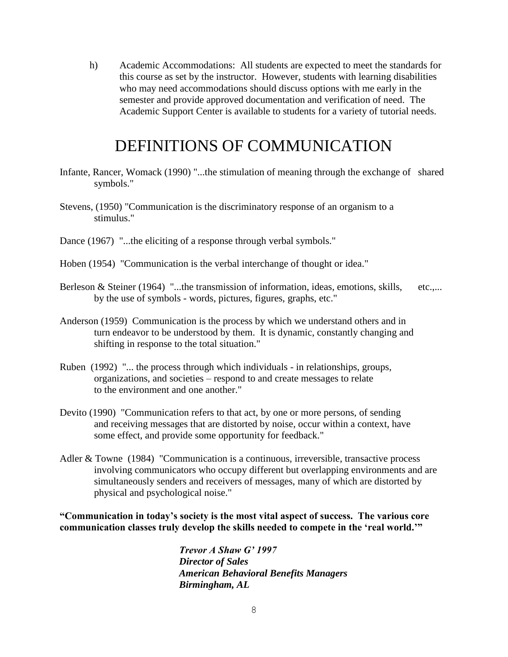h) Academic Accommodations: All students are expected to meet the standards for this course as set by the instructor. However, students with learning disabilities who may need accommodations should discuss options with me early in the semester and provide approved documentation and verification of need. The Academic Support Center is available to students for a variety of tutorial needs.

### DEFINITIONS OF COMMUNICATION

- Infante, Rancer, Womack (1990) "...the stimulation of meaning through the exchange of shared symbols."
- Stevens, (1950) "Communication is the discriminatory response of an organism to a stimulus."
- Dance (1967) "...the eliciting of a response through verbal symbols."
- Hoben (1954) "Communication is the verbal interchange of thought or idea."
- Berleson & Steiner (1964) "...the transmission of information, ideas, emotions, skills, etc.,... by the use of symbols - words, pictures, figures, graphs, etc."
- Anderson (1959) Communication is the process by which we understand others and in turn endeavor to be understood by them. It is dynamic, constantly changing and shifting in response to the total situation."
- Ruben (1992) "... the process through which individuals in relationships, groups, organizations, and societies – respond to and create messages to relate to the environment and one another."
- Devito (1990) "Communication refers to that act, by one or more persons, of sending and receiving messages that are distorted by noise, occur within a context, have some effect, and provide some opportunity for feedback."
- Adler & Towne (1984) "Communication is a continuous, irreversible, transactive process involving communicators who occupy different but overlapping environments and are simultaneously senders and receivers of messages, many of which are distorted by physical and psychological noise."

**"Communication in today's society is the most vital aspect of success. The various core communication classes truly develop the skills needed to compete in the 'real world.'"**

> *Trevor A Shaw G' 1997 Director of Sales American Behavioral Benefits Managers Birmingham, AL*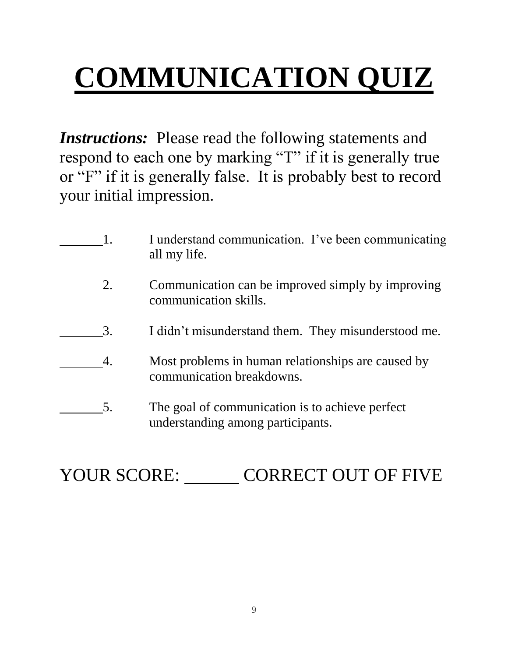# **COMMUNICATION QUIZ**

*Instructions:* Please read the following statements and respond to each one by marking "T" if it is generally true or "F" if it is generally false. It is probably best to record your initial impression.

|    | I understand communication. I've been communicating<br>all my life.                  |
|----|--------------------------------------------------------------------------------------|
| 2. | Communication can be improved simply by improving<br>communication skills.           |
| 3. | I didn't misunderstand them. They misunderstood me.                                  |
| 4. | Most problems in human relationships are caused by<br>communication breakdowns.      |
| 5. | The goal of communication is to achieve perfect<br>understanding among participants. |

## YOUR SCORE: CORRECT OUT OF FIVE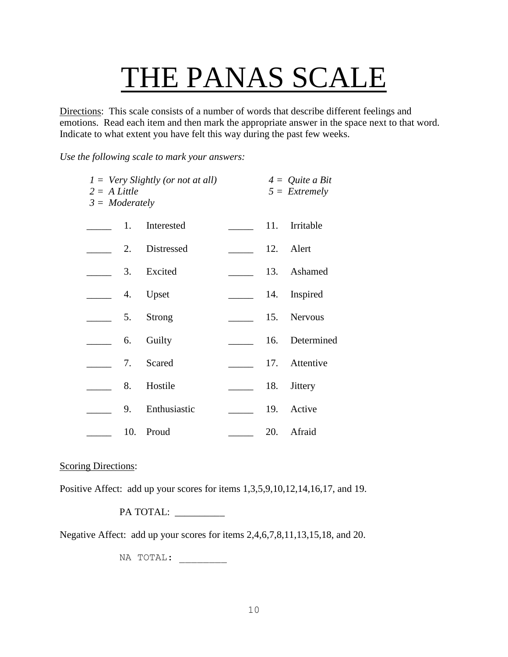## THE PANAS SCALE

Directions: This scale consists of a number of words that describe different feelings and emotions. Read each item and then mark the appropriate answer in the space next to that word. Indicate to what extent you have felt this way during the past few weeks.

*Use the following scale to mark your answers:*

| $1 = \text{Very Slightly (or not at all)}$<br>$2 = A$ Little<br>$3 =$ Moderately |     |              | $4 =$ Quite a Bit<br>$5 =$ Extremely |                |  |
|----------------------------------------------------------------------------------|-----|--------------|--------------------------------------|----------------|--|
|                                                                                  | 1.  | Interested   |                                      | 11. Irritable  |  |
|                                                                                  | 2.  | Distressed   |                                      | 12. Alert      |  |
|                                                                                  | 3.  | Excited      |                                      | 13. Ashamed    |  |
|                                                                                  | 4.  | Upset        |                                      | 14. Inspired   |  |
|                                                                                  | 5.  | Strong       |                                      | 15. Nervous    |  |
| $\frac{1}{2}$ 6.                                                                 |     | Guilty       |                                      | 16. Determined |  |
|                                                                                  | 7.  | Scared       |                                      | 17. Attentive  |  |
|                                                                                  | 8.  | Hostile      | 18.                                  | <b>Jittery</b> |  |
|                                                                                  | 9.  | Enthusiastic |                                      | 19. Active     |  |
|                                                                                  | 10. | Proud        |                                      | 20. Afraid     |  |

#### Scoring Directions:

Positive Affect: add up your scores for items 1,3,5,9,10,12,14,16,17, and 19.

PA TOTAL:

Negative Affect: add up your scores for items 2,4,6,7,8,11,13,15,18, and 20.

NA TOTAL: \_\_\_\_\_\_\_\_\_\_